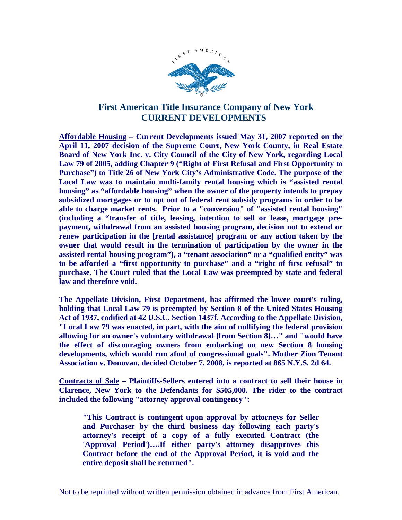

### **First American Title Insurance Company of New York CURRENT DEVELOPMENTS**

**Affordable Housing – Current Developments issued May 31, 2007 reported on the April 11, 2007 decision of the Supreme Court, New York County, in Real Estate Board of New York Inc. v. City Council of the City of New York, regarding Local Law 79 of 2005, adding Chapter 9 ("Right of First Refusal and First Opportunity to Purchase") to Title 26 of New York City's Administrative Code. The purpose of the Local Law was to maintain multi-family rental housing which is "assisted rental housing" as "affordable housing" when the owner of the property intends to prepay subsidized mortgages or to opt out of federal rent subsidy programs in order to be able to charge market rents. Prior to a "conversion" of "assisted rental housing" (including a "transfer of title, leasing, intention to sell or lease, mortgage prepayment, withdrawal from an assisted housing program, decision not to extend or renew participation in the [rental assistance] program or any action taken by the owner that would result in the termination of participation by the owner in the assisted rental housing program"), a "tenant association" or a "qualified entity" was to be afforded a "first opportunity to purchase" and a "right of first refusal" to purchase. The Court ruled that the Local Law was preempted by state and federal law and therefore void.** 

**The Appellate Division, First Department, has affirmed the lower court's ruling, holding that Local Law 79 is preempted by Section 8 of the United States Housing Act of 1937, codified at 42 U.S.C. Section 1437f. According to the Appellate Division, "Local Law 79 was enacted, in part, with the aim of nullifying the federal provision allowing for an owner's voluntary withdrawal [from Section 8]…" and "would have the effect of discouraging owners from embarking on new Section 8 housing developments, which would run afoul of congressional goals". Mother Zion Tenant Association v. Donovan, decided October 7, 2008, is reported at 865 N.Y.S. 2d 64.** 

**Contracts of Sale – Plaintiffs-Sellers entered into a contract to sell their house in Clarence, New York to the Defendants for \$505,000. The rider to the contract included the following "attorney approval contingency":** 

**"This Contract is contingent upon approval by attorneys for Seller and Purchaser by the third business day following each party's attorney's receipt of a copy of a fully executed Contract (the 'Approval Period')….If either party's attorney disapproves this Contract before the end of the Approval Period, it is void and the entire deposit shall be returned".**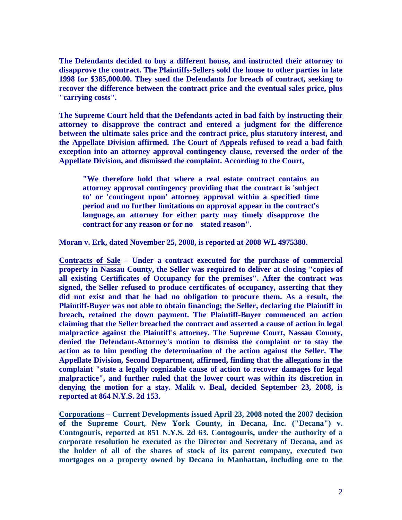**The Defendants decided to buy a different house, and instructed their attorney to disapprove the contract. The Plaintiffs-Sellers sold the house to other parties in late 1998 for \$385,000.00. They sued the Defendants for breach of contract, seeking to recover the difference between the contract price and the eventual sales price, plus "carrying costs".** 

**The Supreme Court held that the Defendants acted in bad faith by instructing their attorney to disapprove the contract and entered a judgment for the difference between the ultimate sales price and the contract price, plus statutory interest, and the Appellate Division affirmed. The Court of Appeals refused to read a bad faith exception into an attorney approval contingency clause, reversed the order of the Appellate Division, and dismissed the complaint. According to the Court,** 

**"We therefore hold that where a real estate contract contains an attorney approval contingency providing that the contract is 'subject to' or 'contingent upon' attorney approval within a specified time period and no further limitations on approval appear in the contract's language, an attorney for either party may timely disapprove the contract for any reason or for no stated reason".** 

**Moran v. Erk, dated November 25, 2008, is reported at 2008 WL 4975380.** 

**Contracts of Sale – Under a contract executed for the purchase of commercial property in Nassau County, the Seller was required to deliver at closing "copies of all existing Certificates of Occupancy for the premises". After the contract was signed, the Seller refused to produce certificates of occupancy, asserting that they did not exist and that he had no obligation to procure them. As a result, the Plaintiff-Buyer was not able to obtain financing; the Seller, declaring the Plaintiff in breach, retained the down payment. The Plaintiff-Buyer commenced an action claiming that the Seller breached the contract and asserted a cause of action in legal malpractice against the Plaintiff's attorney. The Supreme Court, Nassau County, denied the Defendant-Attorney's motion to dismiss the complaint or to stay the action as to him pending the determination of the action against the Seller. The Appellate Division, Second Department, affirmed, finding that the allegations in the complaint "state a legally cognizable cause of action to recover damages for legal malpractice", and further ruled that the lower court was within its discretion in denying the motion for a stay. Malik v. Beal, decided September 23, 2008, is reported at 864 N.Y.S. 2d 153.** 

**Corporations – Current Developments issued April 23, 2008 noted the 2007 decision of the Supreme Court, New York County, in Decana, Inc. ("Decana") v. Contogouris, reported at 851 N.Y.S. 2d 63. Contogouris, under the authority of a corporate resolution he executed as the Director and Secretary of Decana, and as the holder of all of the shares of stock of its parent company, executed two mortgages on a property owned by Decana in Manhattan, including one to the**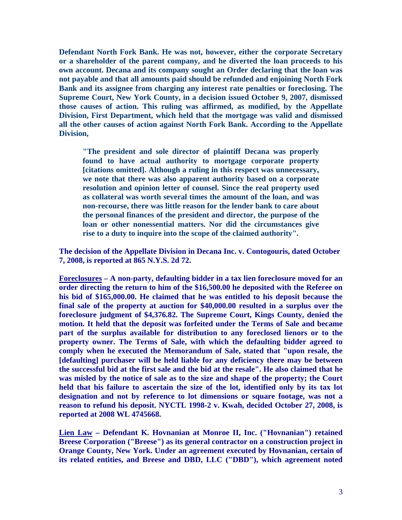**Defendant North Fork Bank. He was not, however, either the corporate Secretary or a shareholder of the parent company, and he diverted the loan proceeds to his own account. Decana and its company sought an Order declaring that the loan was not payable and that all amounts paid should be refunded and enjoining North Fork Bank and its assignee from charging any interest rate penalties or foreclosing. The Supreme Court, New York County, in a decision issued October 9, 2007, dismissed those causes of action. This ruling was affirmed, as modified, by the Appellate Division, First Department, which held that the mortgage was valid and dismissed all the other causes of action against North Fork Bank. According to the Appellate Division,** 

**"The president and sole director of plaintiff Decana was properly found to have actual authority to mortgage corporate property [citations omitted]. Although a ruling in this respect was unnecessary, we note that there was also apparent authority based on a corporate resolution and opinion letter of counsel. Since the real property used as collateral was worth several times the amount of the loan, and was non-recourse, there was little reason for the lender bank to care about the personal finances of the president and director, the purpose of the loan or other nonessential matters. Nor did the circumstances give rise to a duty to inquire into the scope of the claimed authority".** 

**The decision of the Appellate Division in Decana Inc. v. Contogouris, dated October 7, 2008, is reported at 865 N.Y.S. 2d 72.** 

**Foreclosures – A non-party, defaulting bidder in a tax lien foreclosure moved for an order directing the return to him of the \$16,500.00 he deposited with the Referee on his bid of \$165,000.00. He claimed that he was entitled to his deposit because the final sale of the property at auction for \$40,000.00 resulted in a surplus over the foreclosure judgment of \$4,376.82. The Supreme Court, Kings County, denied the motion. It held that the deposit was forfeited under the Terms of Sale and became part of the surplus available for distribution to any foreclosed lienors or to the property owner. The Terms of Sale, with which the defaulting bidder agreed to comply when he executed the Memorandum of Sale, stated that "upon resale, the [defaulting] purchaser will be held liable for any deficiency there may be between the successful bid at the first sale and the bid at the resale". He also claimed that he was misled by the notice of sale as to the size and shape of the property; the Court held that his failure to ascertain the size of the lot, identified only by its tax lot designation and not by reference to lot dimensions or square footage, was not a reason to refund his deposit. NYCTL 1998-2 v. Kwah, decided October 27, 2008, is reported at 2008 WL 4745668.** 

**Lien Law – Defendant K. Hovnanian at Monroe II, Inc. ("Hovnanian") retained Breese Corporation ("Breese") as its general contractor on a construction project in Orange County, New York. Under an agreement executed by Hovnanian, certain of its related entities, and Breese and DBD, LLC ("DBD"), which agreement noted**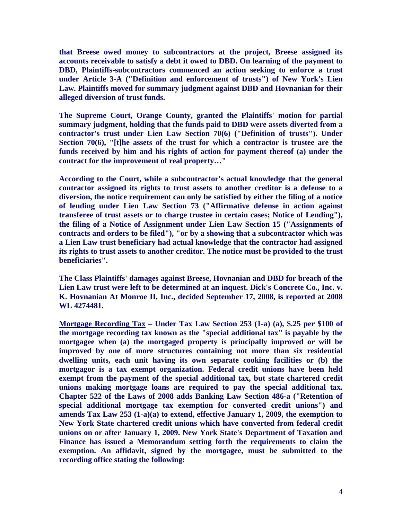**that Breese owed money to subcontractors at the project, Breese assigned its accounts receivable to satisfy a debt it owed to DBD. On learning of the payment to DBD, Plaintiffs-subcontractors commenced an action seeking to enforce a trust under Article 3-A ("Definition and enforcement of trusts") of New York's Lien Law. Plaintiffs moved for summary judgment against DBD and Hovnanian for their alleged diversion of trust funds.** 

**The Supreme Court, Orange County, granted the Plaintiffs' motion for partial summary judgment, holding that the funds paid to DBD were assets diverted from a contractor's trust under Lien Law Section 70(6) ("Definition of trusts"). Under Section 70(6), "[t]he assets of the trust for which a contractor is trustee are the funds received by him and his rights of action for payment thereof (a) under the contract for the improvement of real property…"** 

**According to the Court, while a subcontractor's actual knowledge that the general contractor assigned its rights to trust assets to another creditor is a defense to a diversion, the notice requirement can only be satisfied by either the filing of a notice of lending under Lien Law Section 73 ("Affirmative defense in action against transferee of trust assets or to charge trustee in certain cases; Notice of Lending"), the filing of a Notice of Assignment under Lien Law Section 15 ("Assignments of contracts and orders to be filed"), "or by a showing that a subcontractor which was a Lien Law trust beneficiary had actual knowledge that the contractor had assigned its rights to trust assets to another creditor. The notice must be provided to the trust beneficiaries".** 

**The Class Plaintiffs' damages against Breese, Hovnanian and DBD for breach of the**  Lien Law trust were left to be determined at an inquest. Dick's Concrete Co., Inc. v. **K. Hovnanian At Monroe II, Inc., decided September 17, 2008, is reported at 2008 WL 4274481.** 

**Mortgage Recording Tax – Under Tax Law Section 253 (1-a) (a), \$.25 per \$100 of the mortgage recording tax known as the "special additional tax" is payable by the mortgagee when (a) the mortgaged property is principally improved or will be improved by one of more structures containing not more than six residential dwelling units, each unit having its own separate cooking facilities or (b) the mortgagor is a tax exempt organization. Federal credit unions have been held exempt from the payment of the special additional tax, but state chartered credit unions making mortgage loans are required to pay the special additional tax. Chapter 522 of the Laws of 2008 adds Banking Law Section 486-a ("Retention of special additional mortgage tax exemption for converted credit unions") and amends Tax Law 253 (1-a)(a) to extend, effective January 1, 2009, the exemption to New York State chartered credit unions which have converted from federal credit unions on or after January 1, 2009. New York State's Department of Taxation and Finance has issued a Memorandum setting forth the requirements to claim the exemption. An affidavit, signed by the mortgagee, must be submitted to the recording office stating the following:**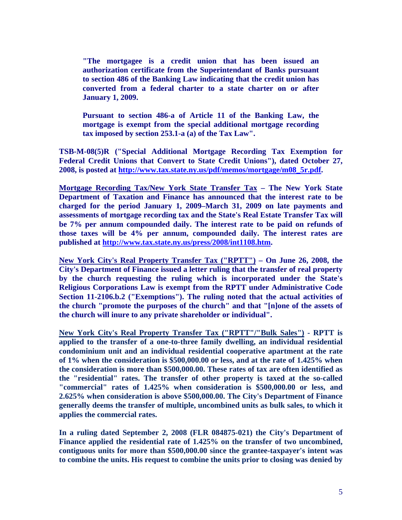**"The mortgagee is a credit union that has been issued an authorization certificate from the Superintendant of Banks pursuant to section 486 of the Banking Law indicating that the credit union has converted from a federal charter to a state charter on or after January 1, 2009.** 

**Pursuant to section 486-a of Article 11 of the Banking Law, the mortgage is exempt from the special additional mortgage recording tax imposed by section 253.1-a (a) of the Tax Law".** 

**TSB-M-08(5)R ("Special Additional Mortgage Recording Tax Exemption for Federal Credit Unions that Convert to State Credit Unions"), dated October 27, 2008, is posted at http://www.tax.state.ny.us/pdf/memos/mortgage/m08\_5r.pdf.** 

**Mortgage Recording Tax/New York State Transfer Tax – The New York State Department of Taxation and Finance has announced that the interest rate to be charged for the period January 1, 2009–March 31, 2009 on late payments and assessments of mortgage recording tax and the State's Real Estate Transfer Tax will be 7% per annum compounded daily. The interest rate to be paid on refunds of those taxes will be 4% per annum, compounded daily. The interest rates are published at http://www.tax.state.ny.us/press/2008/int1108.htm.** 

**New York City's Real Property Transfer Tax ("RPTT") – On June 26, 2008, the City's Department of Finance issued a letter ruling that the transfer of real property by the church requesting the ruling which is incorporated under the State's Religious Corporations Law is exempt from the RPTT under Administrative Code Section 11-2106.b.2 ("Exemptions"). The ruling noted that the actual activities of the church "promote the purposes of the church" and that "[n]one of the assets of the church will inure to any private shareholder or individual".** 

**New York City's Real Property Transfer Tax ("RPTT"/"Bulk Sales") - RPTT is applied to the transfer of a one-to-three family dwelling, an individual residential condominium unit and an individual residential cooperative apartment at the rate of 1% when the consideration is \$500,000.00 or less, and at the rate of 1.425% when the consideration is more than \$500,000.00. These rates of tax are often identified as the "residential" rates. The transfer of other property is taxed at the so-called "commercial" rates of 1.425% when consideration is \$500,000.00 or less, and 2.625% when consideration is above \$500,000.00. The City's Department of Finance generally deems the transfer of multiple, uncombined units as bulk sales, to which it applies the commercial rates.** 

**In a ruling dated September 2, 2008 (FLR 084875-021) the City's Department of Finance applied the residential rate of 1.425% on the transfer of two uncombined, contiguous units for more than \$500,000.00 since the grantee-taxpayer's intent was to combine the units. His request to combine the units prior to closing was denied by**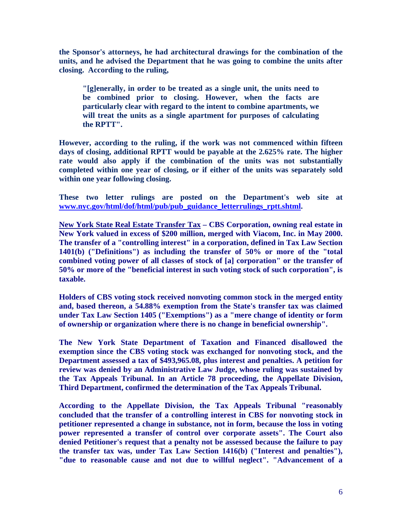**the Sponsor's attorneys, he had architectural drawings for the combination of the units, and he advised the Department that he was going to combine the units after closing. According to the ruling,** 

 **"[g]enerally, in order to be treated as a single unit, the units need to be combined prior to closing. However, when the facts are particularly clear with regard to the intent to combine apartments, we will treat the units as a single apartment for purposes of calculating the RPTT".** 

**However, according to the ruling, if the work was not commenced within fifteen days of closing, additional RPTT would be payable at the 2.625% rate. The higher rate would also apply if the combination of the units was not substantially completed within one year of closing, or if either of the units was separately sold within one year following closing.** 

**These two letter rulings are posted on the Department's web site at www.nyc.gov/html/dof/html/pub/pub\_guidance\_letterrulings\_rptt.shtml.** 

**New York State Real Estate Transfer Tax – CBS Corporation, owning real estate in New York valued in excess of \$200 million, merged with Viacom, Inc. in May 2000. The transfer of a "controlling interest" in a corporation, defined in Tax Law Section 1401(b) ("Definitions") as including the transfer of 50% or more of the "total combined voting power of all classes of stock of [a] corporation" or the transfer of 50% or more of the "beneficial interest in such voting stock of such corporation", is taxable.** 

**Holders of CBS voting stock received nonvoting common stock in the merged entity and, based thereon, a 54.88% exemption from the State's transfer tax was claimed under Tax Law Section 1405 ("Exemptions") as a "mere change of identity or form of ownership or organization where there is no change in beneficial ownership".** 

**The New York State Department of Taxation and Financed disallowed the exemption since the CBS voting stock was exchanged for nonvoting stock, and the Department assessed a tax of \$493,965.08, plus interest and penalties. A petition for review was denied by an Administrative Law Judge, whose ruling was sustained by the Tax Appeals Tribunal. In an Article 78 proceeding, the Appellate Division, Third Department, confirmed the determination of the Tax Appeals Tribunal.** 

**According to the Appellate Division, the Tax Appeals Tribunal "reasonably concluded that the transfer of a controlling interest in CBS for nonvoting stock in petitioner represented a change in substance, not in form, because the loss in voting power represented a transfer of control over corporate assets". The Court also denied Petitioner's request that a penalty not be assessed because the failure to pay the transfer tax was, under Tax Law Section 1416(b) ("Interest and penalties"), "due to reasonable cause and not due to willful neglect". "Advancement of a**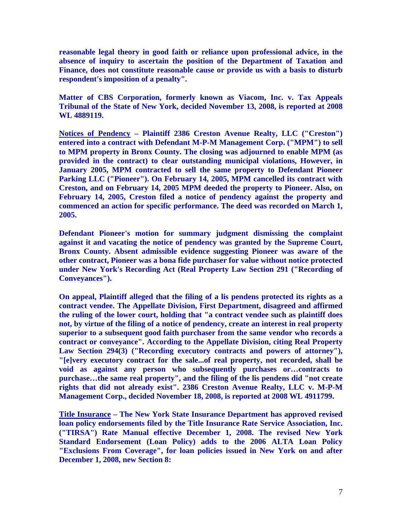**reasonable legal theory in good faith or reliance upon professional advice, in the absence of inquiry to ascertain the position of the Department of Taxation and Finance, does not constitute reasonable cause or provide us with a basis to disturb respondent's imposition of a penalty".** 

**Matter of CBS Corporation, formerly known as Viacom, Inc. v. Tax Appeals Tribunal of the State of New York, decided November 13, 2008, is reported at 2008 WL 4889119.** 

**Notices of Pendency – Plaintiff 2386 Creston Avenue Realty, LLC ("Creston") entered into a contract with Defendant M-P-M Management Corp. ("MPM") to sell to MPM property in Bronx County. The closing was adjourned to enable MPM (as provided in the contract) to clear outstanding municipal violations, However, in January 2005, MPM contracted to sell the same property to Defendant Pioneer Parking LLC ("Pioneer"). On February 14, 2005, MPM cancelled its contract with Creston, and on February 14, 2005 MPM deeded the property to Pioneer. Also, on February 14, 2005, Creston filed a notice of pendency against the property and commenced an action for specific performance. The deed was recorded on March 1, 2005.** 

**Defendant Pioneer's motion for summary judgment dismissing the complaint against it and vacating the notice of pendency was granted by the Supreme Court, Bronx County. Absent admissible evidence suggesting Pioneer was aware of the other contract, Pioneer was a bona fide purchaser for value without notice protected under New York's Recording Act (Real Property Law Section 291 ("Recording of Conveyances").** 

**On appeal, Plaintiff alleged that the filing of a lis pendens protected its rights as a contract vendee. The Appellate Division, First Department, disagreed and affirmed the ruling of the lower court, holding that "a contract vendee such as plaintiff does not, by virtue of the filing of a notice of pendency, create an interest in real property superior to a subsequent good faith purchaser from the same vendor who records a contract or conveyance". According to the Appellate Division, citing Real Property Law Section 294(3) ("Recording executory contracts and powers of attorney"), "[e]very executory contract for the sale...of real property, not recorded, shall be void as against any person who subsequently purchases or…contracts to purchase…the same real property", and the filing of the lis pendens did "not create rights that did not already exist". 2386 Creston Avenue Realty, LLC v. M-P-M Management Corp., decided November 18, 2008, is reported at 2008 WL 4911799.** 

**Title Insurance – The New York State Insurance Department has approved revised loan policy endorsements filed by the Title Insurance Rate Service Association, Inc. ("TIRSA") Rate Manual effective December 1, 2008. The revised New York Standard Endorsement (Loan Policy) adds to the 2006 ALTA Loan Policy "Exclusions From Coverage", for loan policies issued in New York on and after December 1, 2008, new Section 8:**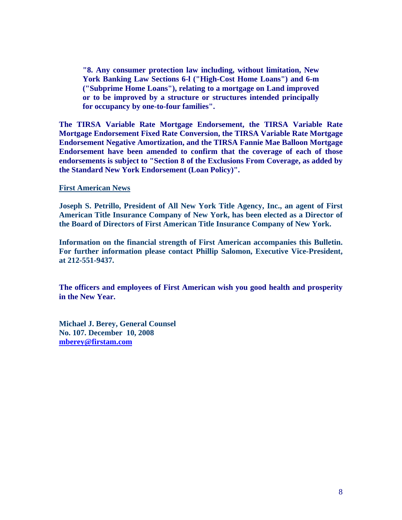**"8. Any consumer protection law including, without limitation, New York Banking Law Sections 6-l ("High-Cost Home Loans") and 6-m ("Subprime Home Loans"), relating to a mortgage on Land improved or to be improved by a structure or structures intended principally for occupancy by one-to-four families".** 

**The TIRSA Variable Rate Mortgage Endorsement, the TIRSA Variable Rate Mortgage Endorsement Fixed Rate Conversion, the TIRSA Variable Rate Mortgage Endorsement Negative Amortization, and the TIRSA Fannie Mae Balloon Mortgage Endorsement have been amended to confirm that the coverage of each of those endorsements is subject to "Section 8 of the Exclusions From Coverage, as added by the Standard New York Endorsement (Loan Policy)".** 

**First American News** 

**Joseph S. Petrillo, President of All New York Title Agency, Inc., an agent of First American Title Insurance Company of New York, has been elected as a Director of the Board of Directors of First American Title Insurance Company of New York.** 

**Information on the financial strength of First American accompanies this Bulletin. For further information please contact Phillip Salomon, Executive Vice-President, at 212-551-9437.** 

**The officers and employees of First American wish you good health and prosperity in the New Year.** 

**Michael J. Berey, General Counsel No. 107. December 10, 2008 mberey@firstam.com**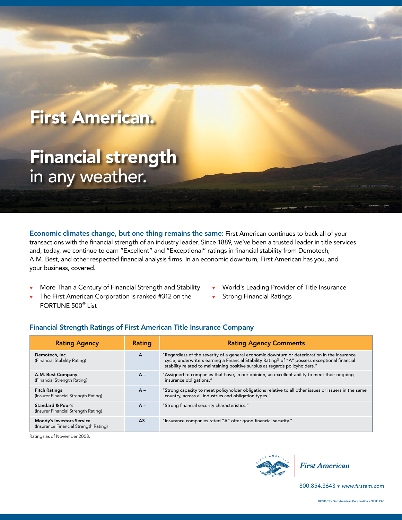# First American.

# Financial strength in any weather.

Economic climates change, but one thing remains the same: First American continues to back all of your transactions with the financial strength of an industry leader. Since 1889, we've been a trusted leader in title services and, today, we continue to earn "Excellent" and "Exceptional" ratings in financial stability from Demotech, A.M. Best, and other respected financial analysis firms. In an economic downturn, First American has you, and your business, covered.

- $\bullet$  More Than a Century of Financial Strength and Stability
- $\blacktriangledown$  The First American Corporation is ranked #312 on the FORTUNE 500® List
- <sup>t</sup> World's Leading Provider of Title Insurance
- **Strong Financial Ratings**

| <b>Rating Agency</b>                                                      | Rating         | <b>Rating Agency Comments</b>                                                                                                                                                                                                                                                  |
|---------------------------------------------------------------------------|----------------|--------------------------------------------------------------------------------------------------------------------------------------------------------------------------------------------------------------------------------------------------------------------------------|
| Demotech, Inc.<br>(Financial Stability Rating)                            | A              | "Regardless of the severity of a general economic downturn or deterioration in the insurance<br>cycle, underwriters earning a Financial Stability Rating® of "A" possess exceptional financial<br>stability related to maintaining positive surplus as regards policyholders." |
| A.M. Best Company<br>(Financial Strength Rating)                          | $A -$          | "Assigned to companies that have, in our opinion, an excellent ability to meet their ongoing<br>insurance obligations."                                                                                                                                                        |
| <b>Fitch Ratings</b><br>(Insurer Financial Strength Rating)               | $A -$          | "Strong capacity to meet policyholder obligations relative to all other issues or issuers in the same<br>country, across all industries and obligation types."                                                                                                                 |
| Standard & Poor's<br>(Insurer Financial Strength Rating)                  | $A -$          | "Strong financial security characteristics."                                                                                                                                                                                                                                   |
| <b>Moody's Investors Service</b><br>(Insurance Financial Strength Rating) | A <sub>3</sub> | "Insurance companies rated "A" offer good financial security."                                                                                                                                                                                                                 |

#### Financial Strength Ratings of First American Title Insurance Company

Ratings as of November 2008.





800.854.3643 v www.firstam.com